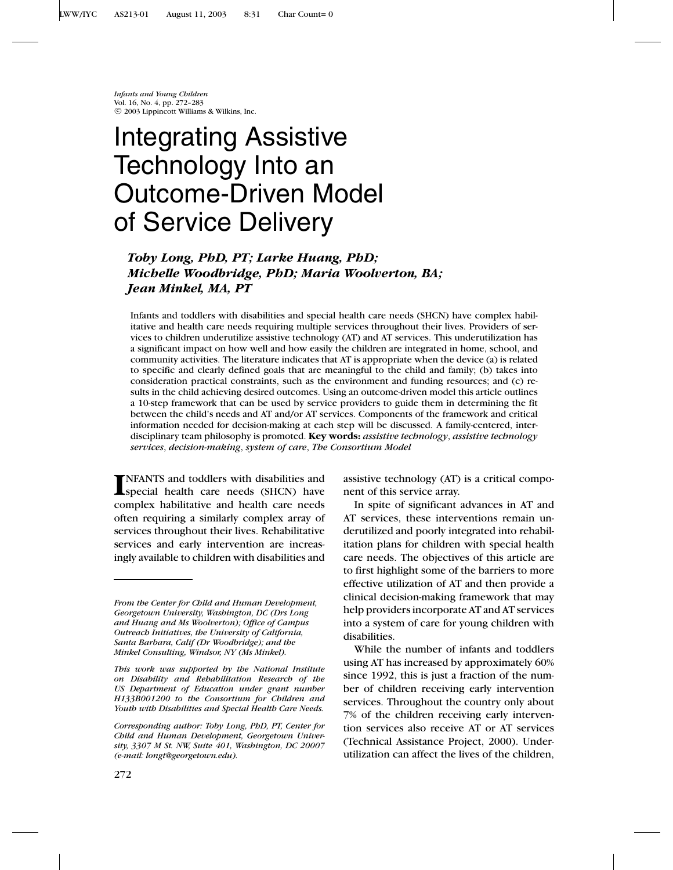# Integrating Assistive Technology Into an Outcome-Driven Model of Service Delivery

# *Toby Long, PhD, PT; Larke Huang, PhD; Michelle Woodbridge, PhD; Maria Woolverton, BA; Jean Minkel, MA, PT*

Infants and toddlers with disabilities and special health care needs (SHCN) have complex habilitative and health care needs requiring multiple services throughout their lives. Providers of services to children underutilize assistive technology (AT) and AT services. This underutilization has a significant impact on how well and how easily the children are integrated in home, school, and community activities. The literature indicates that AT is appropriate when the device (a) is related to specific and clearly defined goals that are meaningful to the child and family; (b) takes into consideration practical constraints, such as the environment and funding resources; and (c) results in the child achieving desired outcomes. Using an outcome-driven model this article outlines a 10-step framework that can be used by service providers to guide them in determining the fit between the child's needs and AT and/or AT services. Components of the framework and critical information needed for decision-making at each step will be discussed. A family-centered, interdisciplinary team philosophy is promoted. **Key words:** *assistive technology*, *assistive technology services*, *decision-making*, *system of care*, *The Consortium Model*

**I** NFANTS and toddlers with disabilities and special health care needs (SHCN) have complex habilitative and health care needs often requiring a similarly complex array of services throughout their lives. Rehabilitative services and early intervention are increasingly available to children with disabilities and

assistive technology (AT) is a critical component of this service array.

In spite of significant advances in AT and AT services, these interventions remain underutilized and poorly integrated into rehabilitation plans for children with special health care needs. The objectives of this article are to first highlight some of the barriers to more effective utilization of AT and then provide a clinical decision-making framework that may help providers incorporate AT and AT services into a system of care for young children with disabilities.

While the number of infants and toddlers using AT has increased by approximately 60% since 1992, this is just a fraction of the number of children receiving early intervention services. Throughout the country only about 7% of the children receiving early intervention services also receive AT or AT services (Technical Assistance Project, 2000). Underutilization can affect the lives of the children,

*From the Center for Child and Human Development, Georgetown University, Washington, DC (Drs Long and Huang and Ms Woolverton); Office of Campus Outreach Initiatives, the University of California, Santa Barbara, Calif (Dr Woodbridge); and the Minkel Consulting, Windsor, NY (Ms Minkel).*

*This work was supported by the National Institute on Disability and Rehabilitation Research of the US Department of Education under grant number H133B001200 to the Consortium for Children and Youth with Disabilities and Special Health Care Needs.*

*Corresponding author: Toby Long, PhD, PT, Center for Child and Human Development, Georgetown University, 3307 M St. NW, Suite 401, Washington, DC 20007 (e-mail: [longt@georgetown.edu\).](mailto:longt@georgetown.edu)*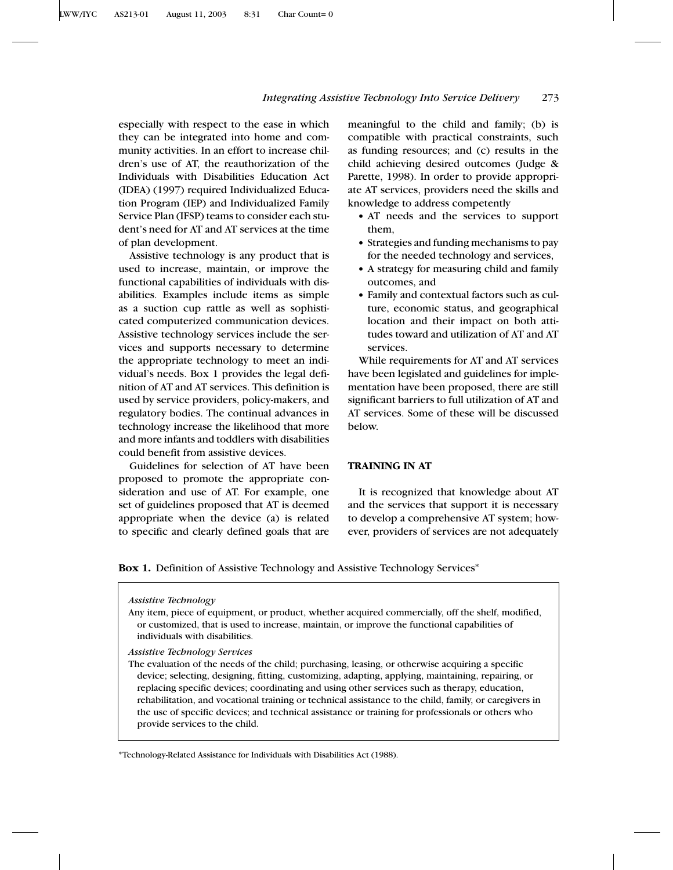especially with respect to the ease in which they can be integrated into home and community activities. In an effort to increase children's use of AT, the reauthorization of the Individuals with Disabilities Education Act (IDEA) (1997) required Individualized Education Program (IEP) and Individualized Family Service Plan (IFSP) teams to consider each student's need for AT and AT services at the time of plan development.

Assistive technology is any product that is used to increase, maintain, or improve the functional capabilities of individuals with disabilities. Examples include items as simple as a suction cup rattle as well as sophisticated computerized communication devices. Assistive technology services include the services and supports necessary to determine the appropriate technology to meet an individual's needs. Box 1 provides the legal definition of AT and AT services. This definition is used by service providers, policy-makers, and regulatory bodies. The continual advances in technology increase the likelihood that more and more infants and toddlers with disabilities could benefit from assistive devices.

Guidelines for selection of AT have been proposed to promote the appropriate consideration and use of AT. For example, one set of guidelines proposed that AT is deemed appropriate when the device (a) is related to specific and clearly defined goals that are

meaningful to the child and family; (b) is compatible with practical constraints, such as funding resources; and (c) results in the child achieving desired outcomes (Judge & Parette, 1998). In order to provide appropriate AT services, providers need the skills and knowledge to address competently

- AT needs and the services to support them,
- Strategies and funding mechanisms to pay for the needed technology and services,
- A strategy for measuring child and family outcomes, and
- Family and contextual factors such as culture, economic status, and geographical location and their impact on both attitudes toward and utilization of AT and AT services.

While requirements for AT and AT services have been legislated and guidelines for implementation have been proposed, there are still significant barriers to full utilization of AT and AT services. Some of these will be discussed below.

# **TRAINING IN AT**

It is recognized that knowledge about AT and the services that support it is necessary to develop a comprehensive AT system; however, providers of services are not adequately

Box 1. Definition of Assistive Technology and Assistive Technology Services<sup>\*</sup>

*Assistive Technology*

Any item, piece of equipment, or product, whether acquired commercially, off the shelf, modified, or customized, that is used to increase, maintain, or improve the functional capabilities of individuals with disabilities.

*Assistive Technology Services*

The evaluation of the needs of the child; purchasing, leasing, or otherwise acquiring a specific device; selecting, designing, fitting, customizing, adapting, applying, maintaining, repairing, or replacing specific devices; coordinating and using other services such as therapy, education, rehabilitation, and vocational training or technical assistance to the child, family, or caregivers in the use of specific devices; and technical assistance or training for professionals or others who provide services to the child.

∗Technology-Related Assistance for Individuals with Disabilities Act (1988).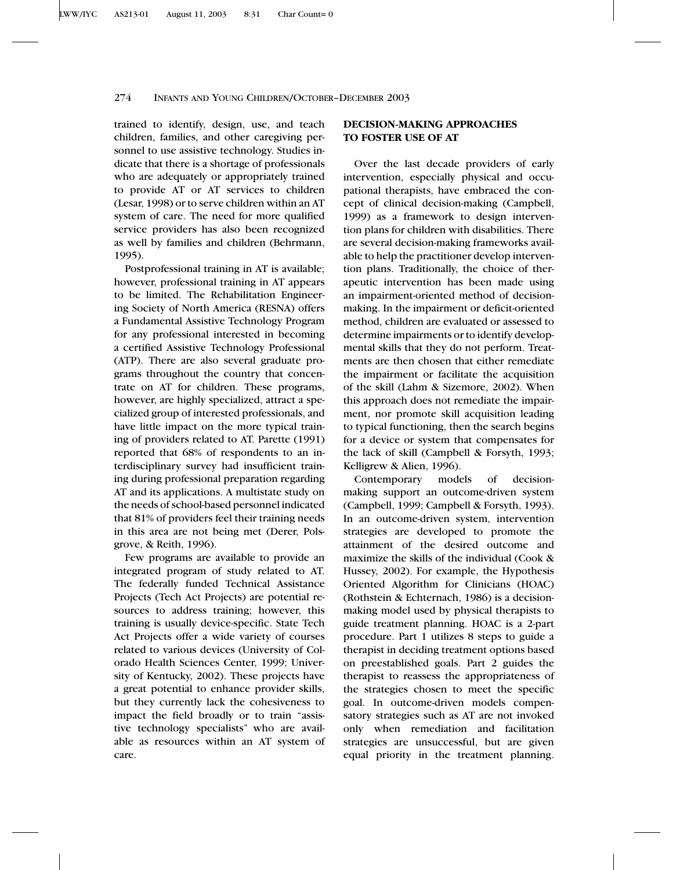trained to identify, design, use, and teach children, families, and other caregiving personnel to use assistive technology. Studies indicate that there is a shortage of professionals who are adequately or appropriately trained to provide AT or AT services to children (Lesar, 1998) or to serve children within an AT system of care. The need for more qualified service providers has also been recognized as well by families and children (Behrmann, 1995).

Postprofessional training in AT is available; however, professional training in AT appears to be limited. The Rehabilitation Engineering Society of North America (RESNA) offers a Fundamental Assistive Technology Program for any professional interested in becoming a certified Assistive Technology Professional (ATP). There are also several graduate programs throughout the country that concentrate on AT for children. These programs, however, are highly specialized, attract a specialized group of interested professionals, and have little impact on the more typical training of providers related to AT. Parette (1991) reported that 68% of respondents to an interdisciplinary survey had insufficient training during professional preparation regarding AT and its applications. A multistate study on the needs of school-based personnel indicated that 81% of providers feel their training needs in this area are not being met (Derer, Polsgrove, & Reith, 1996).

Few programs are available to provide an integrated program of study related to AT. The federally funded Technical Assistance Projects (Tech Act Projects) are potential resources to address training; however, this training is usually device-specific. State Tech Act Projects offer a wide variety of courses related to various devices (University of Colorado Health Sciences Center, 1999; University of Kentucky, 2002). These projects have a great potential to enhance provider skills, but they currently lack the cohesiveness to impact the field broadly or to train "assistive technology specialists" who are available as resources within an AT system of care.

#### **DECISION-MAKING APPROACHES TO FOSTER USE OF AT**

Over the last decade providers of early intervention, especially physical and occupational therapists, have embraced the concept of clinical decision-making (Campbell, 1999) as a framework to design intervention plans for children with disabilities. There are several decision-making frameworks available to help the practitioner develop intervention plans. Traditionally, the choice of therapeutic intervention has been made using an impairment-oriented method of decisionmaking. In the impairment or deficit-oriented method, children are evaluated or assessed to determine impairments or to identify developmental skills that they do not perform. Treatments are then chosen that either remediate the impairment or facilitate the acquisition of the skill (Lahm & Sizemore, 2002). When this approach does not remediate the impairment, nor promote skill acquisition leading to typical functioning, then the search begins for a device or system that compensates for the lack of skill (Campbell & Forsyth, 1993; Kelligrew & Alien, 1996).

Contemporary models of decisionmaking support an outcome-driven system (Campbell, 1999; Campbell & Forsyth, 1993). In an outcome-driven system, intervention strategies are developed to promote the attainment of the desired outcome and maximize the skills of the individual (Cook & Hussey, 2002). For example, the Hypothesis Oriented Algorithm for Clinicians (HOAC) (Rothstein & Echternach, 1986) is a decisionmaking model used by physical therapists to guide treatment planning. HOAC is a 2-part procedure. Part 1 utilizes 8 steps to guide a therapist in deciding treatment options based on preestablished goals. Part 2 guides the therapist to reassess the appropriateness of the strategies chosen to meet the specific goal. In outcome-driven models compensatory strategies such as AT are not invoked only when remediation and facilitation strategies are unsuccessful, but are given equal priority in the treatment planning.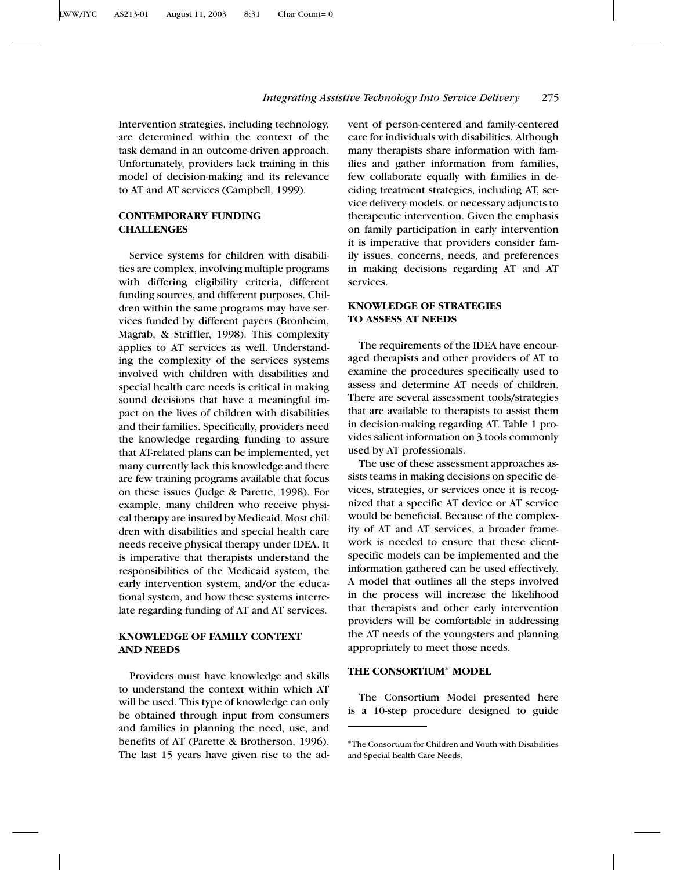Intervention strategies, including technology, are determined within the context of the task demand in an outcome-driven approach. Unfortunately, providers lack training in this model of decision-making and its relevance to AT and AT services (Campbell, 1999).

# **CONTEMPORARY FUNDING CHALLENGES**

Service systems for children with disabilities are complex, involving multiple programs with differing eligibility criteria, different funding sources, and different purposes. Children within the same programs may have services funded by different payers (Bronheim, Magrab, & Striffler, 1998). This complexity applies to AT services as well. Understanding the complexity of the services systems involved with children with disabilities and special health care needs is critical in making sound decisions that have a meaningful impact on the lives of children with disabilities and their families. Specifically, providers need the knowledge regarding funding to assure that AT-related plans can be implemented, yet many currently lack this knowledge and there are few training programs available that focus on these issues (Judge & Parette, 1998). For example, many children who receive physical therapy are insured by Medicaid. Most children with disabilities and special health care needs receive physical therapy under IDEA. It is imperative that therapists understand the responsibilities of the Medicaid system, the early intervention system, and/or the educational system, and how these systems interrelate regarding funding of AT and AT services.

# **KNOWLEDGE OF FAMILY CONTEXT AND NEEDS**

Providers must have knowledge and skills to understand the context within which AT will be used. This type of knowledge can only be obtained through input from consumers and families in planning the need, use, and benefits of AT (Parette & Brotherson, 1996). The last 15 years have given rise to the advent of person-centered and family-centered care for individuals with disabilities. Although many therapists share information with families and gather information from families, few collaborate equally with families in deciding treatment strategies, including AT, service delivery models, or necessary adjuncts to therapeutic intervention. Given the emphasis on family participation in early intervention it is imperative that providers consider family issues, concerns, needs, and preferences in making decisions regarding AT and AT services.

#### **KNOWLEDGE OF STRATEGIES TO ASSESS AT NEEDS**

The requirements of the IDEA have encouraged therapists and other providers of AT to examine the procedures specifically used to assess and determine AT needs of children. There are several assessment tools/strategies that are available to therapists to assist them in decision-making regarding AT. Table 1 provides salient information on 3 tools commonly used by AT professionals.

The use of these assessment approaches assists teams in making decisions on specific devices, strategies, or services once it is recognized that a specific AT device or AT service would be beneficial. Because of the complexity of AT and AT services, a broader framework is needed to ensure that these clientspecific models can be implemented and the information gathered can be used effectively. A model that outlines all the steps involved in the process will increase the likelihood that therapists and other early intervention providers will be comfortable in addressing the AT needs of the youngsters and planning appropriately to meet those needs.

# **THE CONSORTIUM**<sup>∗</sup> **MODEL**

The Consortium Model presented here is a 10-step procedure designed to guide

<sup>∗</sup>The Consortium for Children and Youth with Disabilities and Special health Care Needs.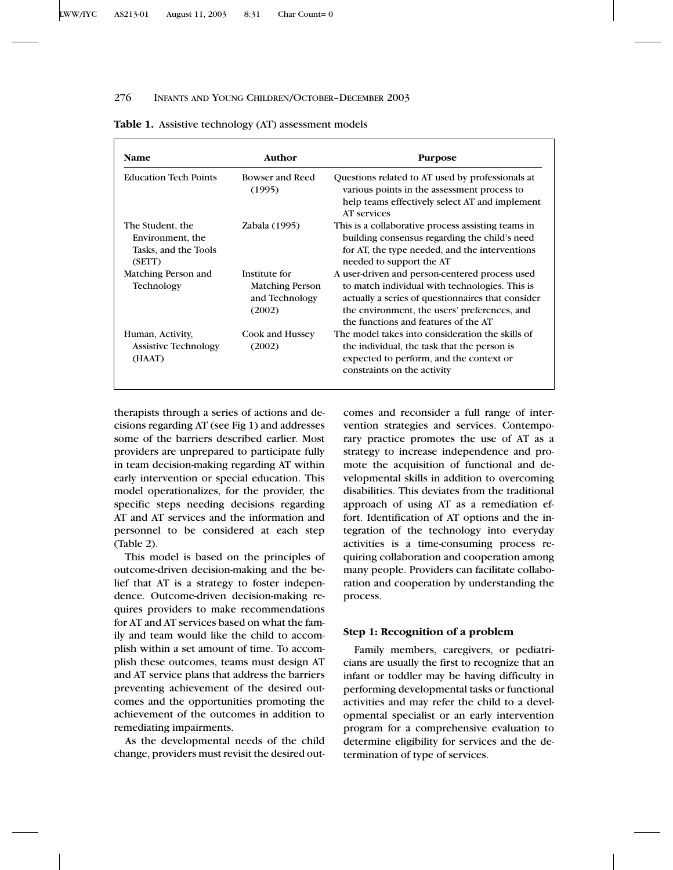| Name                                                                   | Author                                                              | <b>Purpose</b>                                                                                                                                                                                                                                                                                                                                                                                                                                                                                                                                                                                                  |  |
|------------------------------------------------------------------------|---------------------------------------------------------------------|-----------------------------------------------------------------------------------------------------------------------------------------------------------------------------------------------------------------------------------------------------------------------------------------------------------------------------------------------------------------------------------------------------------------------------------------------------------------------------------------------------------------------------------------------------------------------------------------------------------------|--|
| <b>Education Tech Points</b>                                           | Bowser and Reed<br>(1995)                                           | Questions related to AT used by professionals at<br>various points in the assessment process to<br>help teams effectively select AT and implement<br>AT services                                                                                                                                                                                                                                                                                                                                                                                                                                                |  |
| The Student, the<br>Environment, the<br>Tasks, and the Tools<br>(SETT) | Zabala (1995)                                                       | This is a collaborative process assisting teams in<br>building consensus regarding the child's need<br>for AT, the type needed, and the interventions<br>needed to support the AT<br>A user-driven and person-centered process used<br>to match individual with technologies. This is<br>actually a series of questionnaires that consider<br>the environment, the users' preferences, and<br>the functions and features of the AT<br>The model takes into consideration the skills of<br>the individual, the task that the person is<br>expected to perform, and the context or<br>constraints on the activity |  |
| Matching Person and<br>Technology                                      | Institute for<br><b>Matching Person</b><br>and Technology<br>(2002) |                                                                                                                                                                                                                                                                                                                                                                                                                                                                                                                                                                                                                 |  |
| Human, Activity,<br><b>Assistive Technology</b><br>(HAAT)              | Cook and Hussey<br>(2002)                                           |                                                                                                                                                                                                                                                                                                                                                                                                                                                                                                                                                                                                                 |  |

**Table 1.** Assistive technology (AT) assessment models

therapists through a series of actions and decisions regarding AT (see Fig 1) and addresses some of the barriers described earlier. Most providers are unprepared to participate fully in team decision-making regarding AT within early intervention or special education. This model operationalizes, for the provider, the specific steps needing decisions regarding AT and AT services and the information and personnel to be considered at each step (Table 2).

This model is based on the principles of outcome-driven decision-making and the belief that AT is a strategy to foster independence. Outcome-driven decision-making requires providers to make recommendations for AT and AT services based on what the family and team would like the child to accomplish within a set amount of time. To accomplish these outcomes, teams must design AT and AT service plans that address the barriers preventing achievement of the desired outcomes and the opportunities promoting the achievement of the outcomes in addition to remediating impairments.

As the developmental needs of the child change, providers must revisit the desired outcomes and reconsider a full range of intervention strategies and services. Contemporary practice promotes the use of AT as a strategy to increase independence and promote the acquisition of functional and developmental skills in addition to overcoming disabilities. This deviates from the traditional approach of using AT as a remediation effort. Identification of AT options and the integration of the technology into everyday activities is a time-consuming process requiring collaboration and cooperation among many people. Providers can facilitate collaboration and cooperation by understanding the process.

#### **Step 1: Recognition of a problem**

Family members, caregivers, or pediatricians are usually the first to recognize that an infant or toddler may be having difficulty in performing developmental tasks or functional activities and may refer the child to a developmental specialist or an early intervention program for a comprehensive evaluation to determine eligibility for services and the determination of type of services.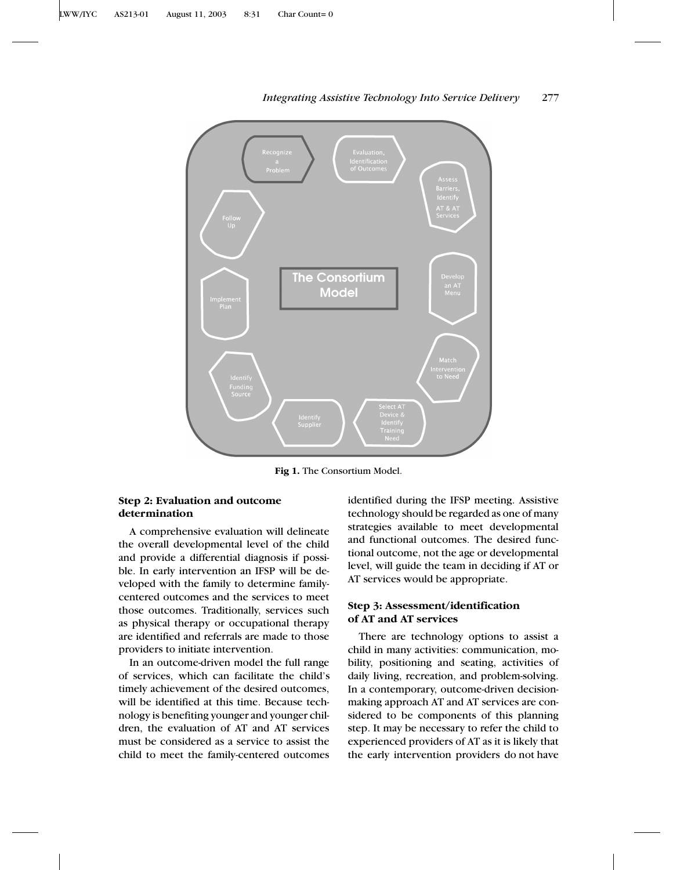

**Fig 1.** The Consortium Model.

#### **Step 2: Evaluation and outcome determination**

A comprehensive evaluation will delineate the overall developmental level of the child and provide a differential diagnosis if possible. In early intervention an IFSP will be developed with the family to determine familycentered outcomes and the services to meet those outcomes. Traditionally, services such as physical therapy or occupational therapy are identified and referrals are made to those providers to initiate intervention.

In an outcome-driven model the full range of services, which can facilitate the child's timely achievement of the desired outcomes, will be identified at this time. Because technology is benefiting younger and younger children, the evaluation of AT and AT services must be considered as a service to assist the child to meet the family-centered outcomes identified during the IFSP meeting. Assistive technology should be regarded as one of many strategies available to meet developmental and functional outcomes. The desired functional outcome, not the age or developmental level, will guide the team in deciding if AT or AT services would be appropriate.

#### **Step 3: Assessment/identification of AT and AT services**

There are technology options to assist a child in many activities: communication, mobility, positioning and seating, activities of daily living, recreation, and problem-solving. In a contemporary, outcome-driven decisionmaking approach AT and AT services are considered to be components of this planning step. It may be necessary to refer the child to experienced providers of AT as it is likely that the early intervention providers do not have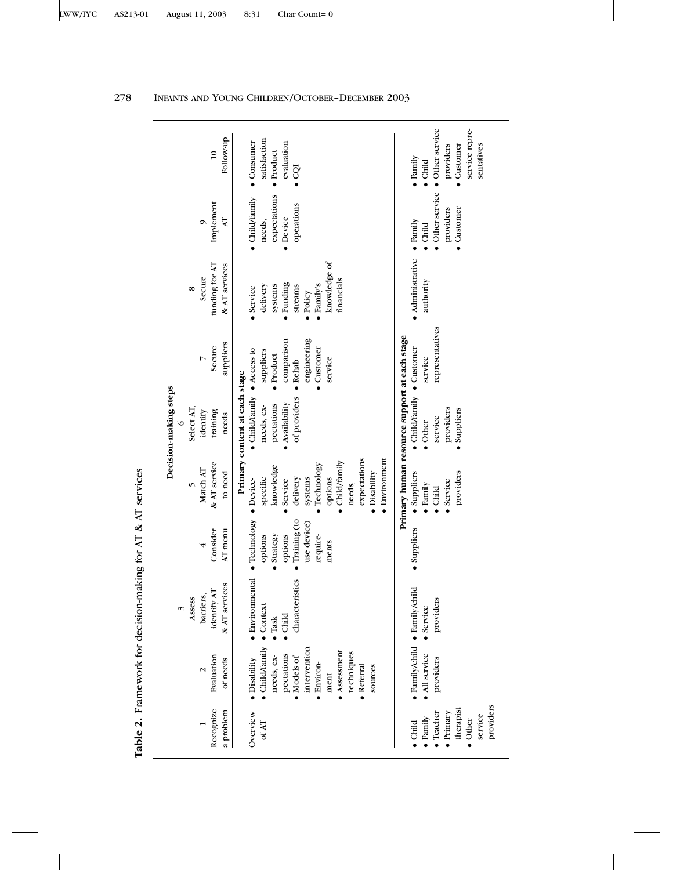| Follow-up<br>$\overline{10}$                                              | satisfaction<br>• Consumer<br>evaluation<br>$\bullet$ Product<br>$\bullet$ CQI                                                                                                             | • Other service • Other service<br>service repre-<br>• Customer<br>providers<br>sentatives<br>· Family<br>$\bullet$ Child |
|---------------------------------------------------------------------------|--------------------------------------------------------------------------------------------------------------------------------------------------------------------------------------------|---------------------------------------------------------------------------------------------------------------------------|
| Implement<br>$\overline{A}$<br>$\circ$                                    | expectations<br>· Child/family<br>operations<br>· Device<br>needs,                                                                                                                         | providers<br>• Customer<br>$\bullet$ Family<br>Child                                                                      |
| funding for AT<br>& AT services<br>Secure<br>$^{\circ}$                   | knowledge of<br>financials<br>$\bullet$ Family's<br>$\bullet$ Funding<br>systems<br>delivery<br>streams<br>Service<br>· Policy                                                             | · Administrative<br>authority                                                                                             |
| suppliers<br>Secure                                                       | engineering<br>comparison<br>Customer<br>suppliers<br>$\bullet$ Product<br>service<br>$\bullet$ Rehab                                                                                      | representatives<br>$\bullet$ Customer<br>service                                                                          |
| Decision-making steps<br>Select AT,<br>identify<br>training<br>needs<br>0 | • Child/family • Access to<br>Primary content at each stage<br>of providers<br>$\bullet$ Availability<br>pectations<br>needs, ex-                                                          | Primary human resource support at each stage<br>· Child/family<br>providers<br>Suppliers<br>service<br>• Other            |
| & AT service<br>Match AT<br>to need                                       | Environment<br>expectations<br>$\bullet$ Child/family<br>$\bullet$ Technology<br>knowledge<br>· Disability<br>delivery<br>systems<br>specific<br>options<br>· Device-<br>Service<br>needs, | providers<br>· Suppliers<br>Service<br>Family<br>$\bullet$ Child                                                          |
| Consider<br>AT menu                                                       | $\bullet$ Technology<br>$\bullet$ Training (to<br>use device)<br>Strategy<br>options<br>options<br>require-<br>ments                                                                       | · Suppliers                                                                                                               |
| & AT services<br>identify AT<br>barriers,<br>Assess<br>3                  | Environmental<br>characteristics<br>Context<br>Child<br>Task                                                                                                                               | $\bullet$ Family/child $\bullet$ Family/child<br>providers<br>• Service                                                   |
| Evaluation<br>of needs                                                    | · Child/family<br>intervention<br>• Assessment<br>techniques<br>pectations<br>needs, ex-<br>$\bullet$ Models of<br>Disability<br>Environ-<br>sources<br>· Referral<br>ment                 | $\bullet$ All service<br>providers                                                                                        |
| Recognize<br>a problem                                                    | Overview<br>of AT                                                                                                                                                                          | providers<br>therapist<br>• Teacher<br>$\bullet$ Primary<br>service<br>$\bullet$ Family<br>• Other<br>$\bullet$ Child     |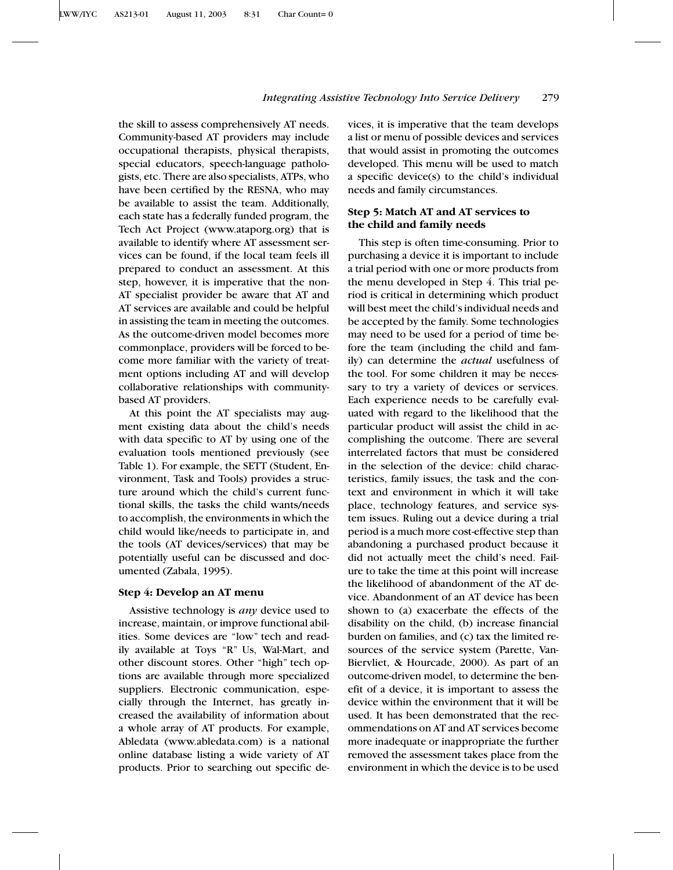the skill to assess comprehensively AT needs. Community-based AT providers may include occupational therapists, physical therapists, special educators, speech-language pathologists, etc. There are also specialists, ATPs, who have been certified by the RESNA, who may be available to assist the team. Additionally, each state has a federally funded program, the Tech Act Project ([www.ataporg.org\)](http://www.ataporg.org) that is available to identify where AT assessment services can be found, if the local team feels ill prepared to conduct an assessment. At this step, however, it is imperative that the non-AT specialist provider be aware that AT and AT services are available and could be helpful in assisting the team in meeting the outcomes. As the outcome-driven model becomes more commonplace, providers will be forced to become more familiar with the variety of treatment options including AT and will develop collaborative relationships with communitybased AT providers.

At this point the AT specialists may augment existing data about the child's needs with data specific to AT by using one of the evaluation tools mentioned previously (see Table 1). For example, the SETT (Student, Environment, Task and Tools) provides a structure around which the child's current functional skills, the tasks the child wants/needs to accomplish, the environments in which the child would like/needs to participate in, and the tools (AT devices/services) that may be potentially useful can be discussed and documented (Zabala, 1995).

#### **Step 4: Develop an AT menu**

Assistive technology is *any* device used to increase, maintain, or improve functional abilities. Some devices are "low" tech and readily available at Toys "R" Us, Wal-Mart, and other discount stores. Other "high" tech options are available through more specialized suppliers. Electronic communication, especially through the Internet, has greatly increased the availability of information about a whole array of AT products. For example, Abledata [\(www.abledata.com\)](http://www.abledata.com) is a national online database listing a wide variety of AT products. Prior to searching out specific devices, it is imperative that the team develops a list or menu of possible devices and services that would assist in promoting the outcomes developed. This menu will be used to match a specific device(s) to the child's individual needs and family circumstances.

# **Step 5: Match AT and AT services to the child and family needs**

This step is often time-consuming. Prior to purchasing a device it is important to include a trial period with one or more products from the menu developed in Step 4. This trial period is critical in determining which product will best meet the child's individual needs and be accepted by the family. Some technologies may need to be used for a period of time before the team (including the child and family) can determine the *actual* usefulness of the tool. For some children it may be necessary to try a variety of devices or services. Each experience needs to be carefully evaluated with regard to the likelihood that the particular product will assist the child in accomplishing the outcome. There are several interrelated factors that must be considered in the selection of the device: child characteristics, family issues, the task and the context and environment in which it will take place, technology features, and service system issues. Ruling out a device during a trial period is a much more cost-effective step than abandoning a purchased product because it did not actually meet the child's need. Failure to take the time at this point will increase the likelihood of abandonment of the AT device. Abandonment of an AT device has been shown to (a) exacerbate the effects of the disability on the child, (b) increase financial burden on families, and (c) tax the limited resources of the service system (Parette, Van-Biervliet, & Hourcade, 2000). As part of an outcome-driven model, to determine the benefit of a device, it is important to assess the device within the environment that it will be used. It has been demonstrated that the recommendations on AT and AT services become more inadequate or inappropriate the further removed the assessment takes place from the environment in which the device is to be used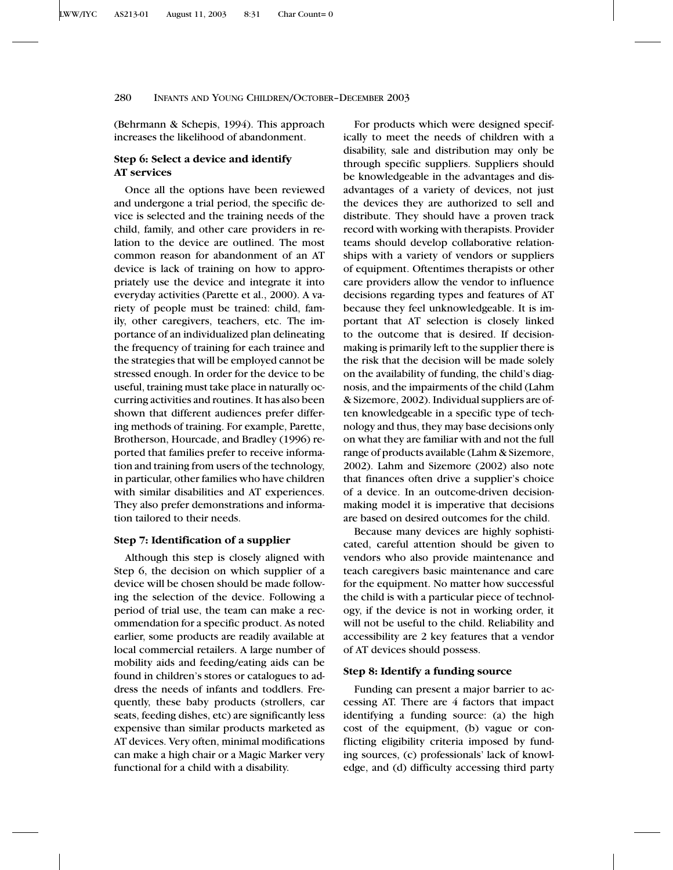(Behrmann & Schepis, 1994). This approach increases the likelihood of abandonment.

#### **Step 6: Select a device and identify AT services**

Once all the options have been reviewed and undergone a trial period, the specific device is selected and the training needs of the child, family, and other care providers in relation to the device are outlined. The most common reason for abandonment of an AT device is lack of training on how to appropriately use the device and integrate it into everyday activities (Parette et al., 2000). A variety of people must be trained: child, family, other caregivers, teachers, etc. The importance of an individualized plan delineating the frequency of training for each trainee and the strategies that will be employed cannot be stressed enough. In order for the device to be useful, training must take place in naturally occurring activities and routines. It has also been shown that different audiences prefer differing methods of training. For example, Parette, Brotherson, Hourcade, and Bradley (1996) reported that families prefer to receive information and training from users of the technology, in particular, other families who have children with similar disabilities and AT experiences. They also prefer demonstrations and information tailored to their needs.

#### **Step 7: Identification of a supplier**

Although this step is closely aligned with Step 6, the decision on which supplier of a device will be chosen should be made following the selection of the device. Following a period of trial use, the team can make a recommendation for a specific product. As noted earlier, some products are readily available at local commercial retailers. A large number of mobility aids and feeding/eating aids can be found in children's stores or catalogues to address the needs of infants and toddlers. Frequently, these baby products (strollers, car seats, feeding dishes, etc) are significantly less expensive than similar products marketed as AT devices. Very often, minimal modifications can make a high chair or a Magic Marker very functional for a child with a disability.

For products which were designed specifically to meet the needs of children with a disability, sale and distribution may only be through specific suppliers. Suppliers should be knowledgeable in the advantages and disadvantages of a variety of devices, not just the devices they are authorized to sell and distribute. They should have a proven track record with working with therapists. Provider teams should develop collaborative relationships with a variety of vendors or suppliers of equipment. Oftentimes therapists or other care providers allow the vendor to influence decisions regarding types and features of AT because they feel unknowledgeable. It is important that AT selection is closely linked to the outcome that is desired. If decisionmaking is primarily left to the supplier there is the risk that the decision will be made solely on the availability of funding, the child's diagnosis, and the impairments of the child (Lahm & Sizemore, 2002). Individual suppliers are often knowledgeable in a specific type of technology and thus, they may base decisions only on what they are familiar with and not the full range of products available (Lahm & Sizemore, 2002). Lahm and Sizemore (2002) also note that finances often drive a supplier's choice of a device. In an outcome-driven decisionmaking model it is imperative that decisions are based on desired outcomes for the child.

Because many devices are highly sophisticated, careful attention should be given to vendors who also provide maintenance and teach caregivers basic maintenance and care for the equipment. No matter how successful the child is with a particular piece of technology, if the device is not in working order, it will not be useful to the child. Reliability and accessibility are 2 key features that a vendor of AT devices should possess.

#### **Step 8: Identify a funding source**

Funding can present a major barrier to accessing AT. There are 4 factors that impact identifying a funding source: (a) the high cost of the equipment, (b) vague or conflicting eligibility criteria imposed by funding sources, (c) professionals' lack of knowledge, and (d) difficulty accessing third party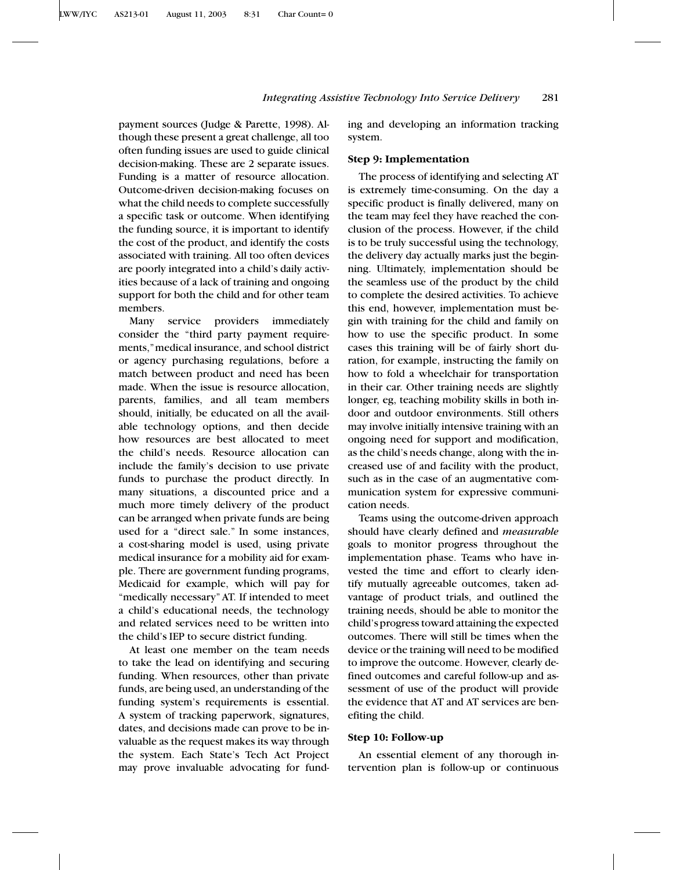payment sources (Judge & Parette, 1998). Although these present a great challenge, all too often funding issues are used to guide clinical decision-making. These are 2 separate issues. Funding is a matter of resource allocation. Outcome-driven decision-making focuses on what the child needs to complete successfully a specific task or outcome. When identifying the funding source, it is important to identify the cost of the product, and identify the costs associated with training. All too often devices are poorly integrated into a child's daily activities because of a lack of training and ongoing support for both the child and for other team members.

Many service providers immediately consider the "third party payment requirements,"medical insurance, and school district or agency purchasing regulations, before a match between product and need has been made. When the issue is resource allocation, parents, families, and all team members should, initially, be educated on all the available technology options, and then decide how resources are best allocated to meet the child's needs. Resource allocation can include the family's decision to use private funds to purchase the product directly. In many situations, a discounted price and a much more timely delivery of the product can be arranged when private funds are being used for a "direct sale." In some instances, a cost-sharing model is used, using private medical insurance for a mobility aid for example. There are government funding programs, Medicaid for example, which will pay for "medically necessary" AT. If intended to meet a child's educational needs, the technology and related services need to be written into the child's IEP to secure district funding.

At least one member on the team needs to take the lead on identifying and securing funding. When resources, other than private funds, are being used, an understanding of the funding system's requirements is essential. A system of tracking paperwork, signatures, dates, and decisions made can prove to be invaluable as the request makes its way through the system. Each State's Tech Act Project may prove invaluable advocating for funding and developing an information tracking system.

#### **Step 9: Implementation**

The process of identifying and selecting AT is extremely time-consuming. On the day a specific product is finally delivered, many on the team may feel they have reached the conclusion of the process. However, if the child is to be truly successful using the technology, the delivery day actually marks just the beginning. Ultimately, implementation should be the seamless use of the product by the child to complete the desired activities. To achieve this end, however, implementation must begin with training for the child and family on how to use the specific product. In some cases this training will be of fairly short duration, for example, instructing the family on how to fold a wheelchair for transportation in their car. Other training needs are slightly longer, eg, teaching mobility skills in both indoor and outdoor environments. Still others may involve initially intensive training with an ongoing need for support and modification, as the child's needs change, along with the increased use of and facility with the product, such as in the case of an augmentative communication system for expressive communication needs.

Teams using the outcome-driven approach should have clearly defined and *measurable* goals to monitor progress throughout the implementation phase. Teams who have invested the time and effort to clearly identify mutually agreeable outcomes, taken advantage of product trials, and outlined the training needs, should be able to monitor the child's progress toward attaining the expected outcomes. There will still be times when the device or the training will need to be modified to improve the outcome. However, clearly defined outcomes and careful follow-up and assessment of use of the product will provide the evidence that AT and AT services are benefiting the child.

#### **Step 10: Follow-up**

An essential element of any thorough intervention plan is follow-up or continuous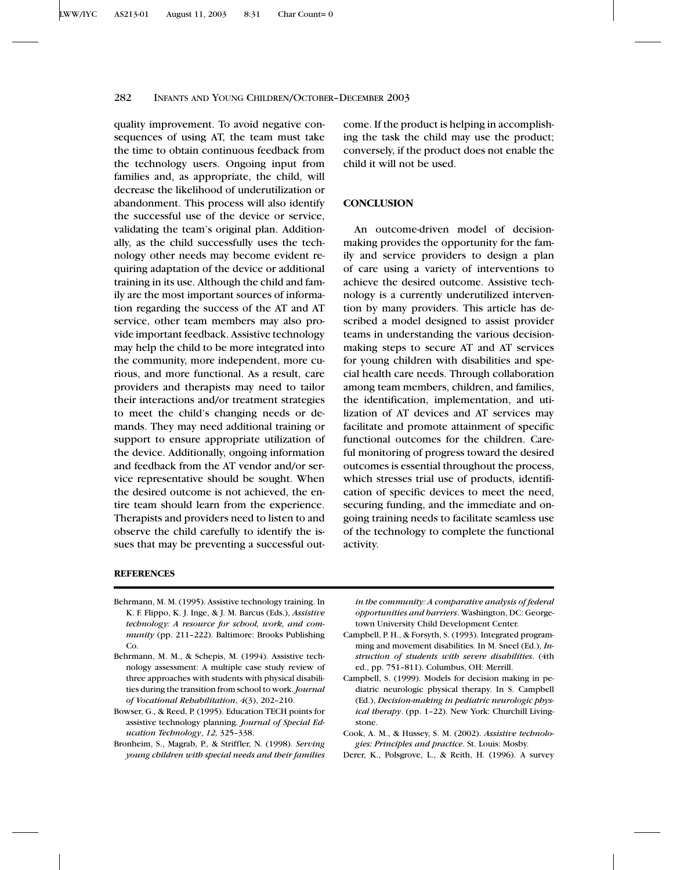quality improvement. To avoid negative consequences of using AT, the team must take the time to obtain continuous feedback from the technology users. Ongoing input from families and, as appropriate, the child, will decrease the likelihood of underutilization or abandonment. This process will also identify the successful use of the device or service, validating the team's original plan. Additionally, as the child successfully uses the technology other needs may become evident requiring adaptation of the device or additional training in its use. Although the child and family are the most important sources of information regarding the success of the AT and AT service, other team members may also provide important feedback. Assistive technology may help the child to be more integrated into the community, more independent, more curious, and more functional. As a result, care providers and therapists may need to tailor their interactions and/or treatment strategies to meet the child's changing needs or demands. They may need additional training or support to ensure appropriate utilization of the device. Additionally, ongoing information and feedback from the AT vendor and/or service representative should be sought. When the desired outcome is not achieved, the entire team should learn from the experience. Therapists and providers need to listen to and observe the child carefully to identify the issues that may be preventing a successful outcome. If the product is helping in accomplishing the task the child may use the product; conversely, if the product does not enable the child it will not be used.

#### **CONCLUSION**

An outcome-driven model of decisionmaking provides the opportunity for the family and service providers to design a plan of care using a variety of interventions to achieve the desired outcome. Assistive technology is a currently underutilized intervention by many providers. This article has described a model designed to assist provider teams in understanding the various decisionmaking steps to secure AT and AT services for young children with disabilities and special health care needs. Through collaboration among team members, children, and families, the identification, implementation, and utilization of AT devices and AT services may facilitate and promote attainment of specific functional outcomes for the children. Careful monitoring of progress toward the desired outcomes is essential throughout the process, which stresses trial use of products, identification of specific devices to meet the need, securing funding, and the immediate and ongoing training needs to facilitate seamless use of the technology to complete the functional activity.

#### **REFERENCES**

- Behrmann, M. M. (1995). Assistive technology training. In K. F. Flippo, K. J. Inge, & J. M. Barcus (Eds.), *Assistive technology: A resource for school, work, and community* (pp. 211–222). Baltimore: Brooks Publishing Co.
- Behrmann, M. M., & Schepis, M. (1994). Assistive technology assessment: A multiple case study review of three approaches with students with physical disabilities during the transition from school to work. *Journal of Vocational Rehabilitation*, *4*(3), 202–210.
- Bowser, G., & Reed, P. (1995). Education TECH points for assistive technology planning. *Journal of Special Education Technology*, *12,* 325–338.
- Bronheim, S., Magrab, P., & Striffler, N. (1998). *Serving young children with special needs and their families*

*in the community: A comparative analysis of federal opportunities and barriers*. Washington, DC: Georgetown University Child Development Center.

- Campbell, P. H., & Forsyth, S. (1993). Integrated programming and movement disabilities. In M. Sneel (Ed.), *Instruction of students with severe disabilities*. (4th ed., pp. 751–811). Columbus, OH: Merrill.
- Campbell, S. (1999). Models for decision making in pediatric neurologic physical therapy. In S. Campbell (Ed.), *Decision-making in pediatric neurologic physical therapy*. (pp. 1–22). New York: Churchill Livingstone.
- Cook, A. M., & Hussey, S. M. (2002). *Assistive technologies: Principles and practice*. St. Louis: Mosby.
- Derer, K., Polsgrove, L., & Reith, H. (1996). A survey